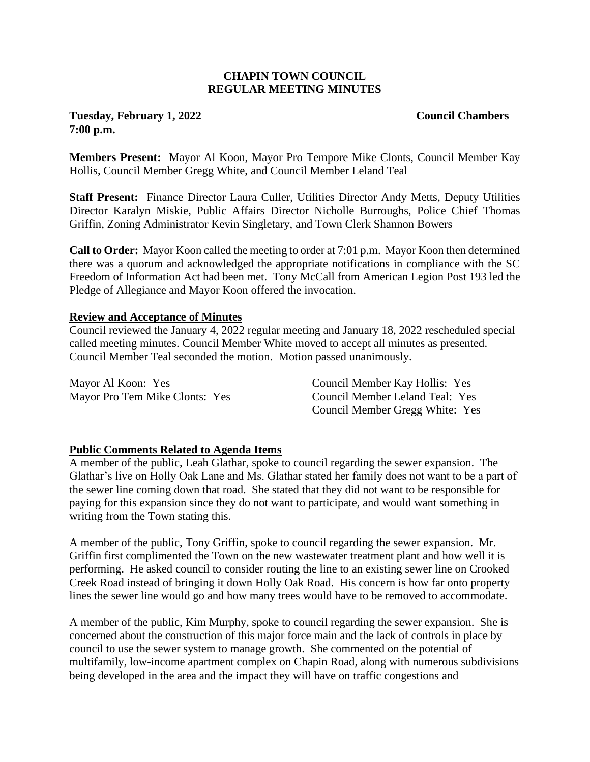#### **CHAPIN TOWN COUNCIL REGULAR MEETING MINUTES**

# **Tuesday, February 1, 2022 Council Chambers 7:00 p.m.**

**Members Present:** Mayor Al Koon, Mayor Pro Tempore Mike Clonts, Council Member Kay Hollis, Council Member Gregg White, and Council Member Leland Teal

**Staff Present:** Finance Director Laura Culler, Utilities Director Andy Metts, Deputy Utilities Director Karalyn Miskie, Public Affairs Director Nicholle Burroughs, Police Chief Thomas Griffin, Zoning Administrator Kevin Singletary, and Town Clerk Shannon Bowers

**Call to Order:** Mayor Koon called the meeting to order at 7:01 p.m. Mayor Koon then determined there was a quorum and acknowledged the appropriate notifications in compliance with the SC Freedom of Information Act had been met. Tony McCall from American Legion Post 193 led the Pledge of Allegiance and Mayor Koon offered the invocation.

### **Review and Acceptance of Minutes**

Council reviewed the January 4, 2022 regular meeting and January 18, 2022 rescheduled special called meeting minutes. Council Member White moved to accept all minutes as presented. Council Member Teal seconded the motion. Motion passed unanimously.

| Mayor Al Koon: Yes             | Council Member Kay Hollis: Yes  |
|--------------------------------|---------------------------------|
| Mayor Pro Tem Mike Clonts: Yes | Council Member Leland Teal: Yes |
|                                | Council Member Gregg White: Yes |

### **Public Comments Related to Agenda Items**

A member of the public, Leah Glathar, spoke to council regarding the sewer expansion. The Glathar's live on Holly Oak Lane and Ms. Glathar stated her family does not want to be a part of the sewer line coming down that road. She stated that they did not want to be responsible for paying for this expansion since they do not want to participate, and would want something in writing from the Town stating this.

A member of the public, Tony Griffin, spoke to council regarding the sewer expansion. Mr. Griffin first complimented the Town on the new wastewater treatment plant and how well it is performing. He asked council to consider routing the line to an existing sewer line on Crooked Creek Road instead of bringing it down Holly Oak Road. His concern is how far onto property lines the sewer line would go and how many trees would have to be removed to accommodate.

A member of the public, Kim Murphy, spoke to council regarding the sewer expansion. She is concerned about the construction of this major force main and the lack of controls in place by council to use the sewer system to manage growth. She commented on the potential of multifamily, low-income apartment complex on Chapin Road, along with numerous subdivisions being developed in the area and the impact they will have on traffic congestions and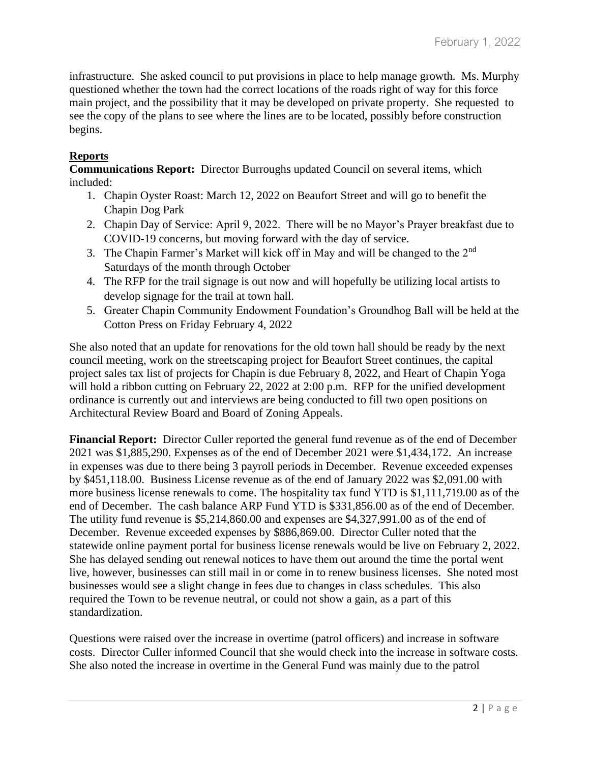infrastructure. She asked council to put provisions in place to help manage growth. Ms. Murphy questioned whether the town had the correct locations of the roads right of way for this force main project, and the possibility that it may be developed on private property. She requested to see the copy of the plans to see where the lines are to be located, possibly before construction begins.

# **Reports**

**Communications Report:** Director Burroughs updated Council on several items, which included:

- 1. Chapin Oyster Roast: March 12, 2022 on Beaufort Street and will go to benefit the Chapin Dog Park
- 2. Chapin Day of Service: April 9, 2022. There will be no Mayor's Prayer breakfast due to COVID-19 concerns, but moving forward with the day of service.
- 3. The Chapin Farmer's Market will kick off in May and will be changed to the  $2<sup>nd</sup>$ Saturdays of the month through October
- 4. The RFP for the trail signage is out now and will hopefully be utilizing local artists to develop signage for the trail at town hall.
- 5. Greater Chapin Community Endowment Foundation's Groundhog Ball will be held at the Cotton Press on Friday February 4, 2022

She also noted that an update for renovations for the old town hall should be ready by the next council meeting, work on the streetscaping project for Beaufort Street continues, the capital project sales tax list of projects for Chapin is due February 8, 2022, and Heart of Chapin Yoga will hold a ribbon cutting on February 22, 2022 at 2:00 p.m. RFP for the unified development ordinance is currently out and interviews are being conducted to fill two open positions on Architectural Review Board and Board of Zoning Appeals.

**Financial Report:** Director Culler reported the general fund revenue as of the end of December 2021 was \$1,885,290. Expenses as of the end of December 2021 were \$1,434,172. An increase in expenses was due to there being 3 payroll periods in December. Revenue exceeded expenses by \$451,118.00. Business License revenue as of the end of January 2022 was \$2,091.00 with more business license renewals to come. The hospitality tax fund YTD is \$1,111,719.00 as of the end of December. The cash balance ARP Fund YTD is \$331,856.00 as of the end of December. The utility fund revenue is \$5,214,860.00 and expenses are \$4,327,991.00 as of the end of December. Revenue exceeded expenses by \$886,869.00. Director Culler noted that the statewide online payment portal for business license renewals would be live on February 2, 2022. She has delayed sending out renewal notices to have them out around the time the portal went live, however, businesses can still mail in or come in to renew business licenses. She noted most businesses would see a slight change in fees due to changes in class schedules. This also required the Town to be revenue neutral, or could not show a gain, as a part of this standardization.

Questions were raised over the increase in overtime (patrol officers) and increase in software costs. Director Culler informed Council that she would check into the increase in software costs. She also noted the increase in overtime in the General Fund was mainly due to the patrol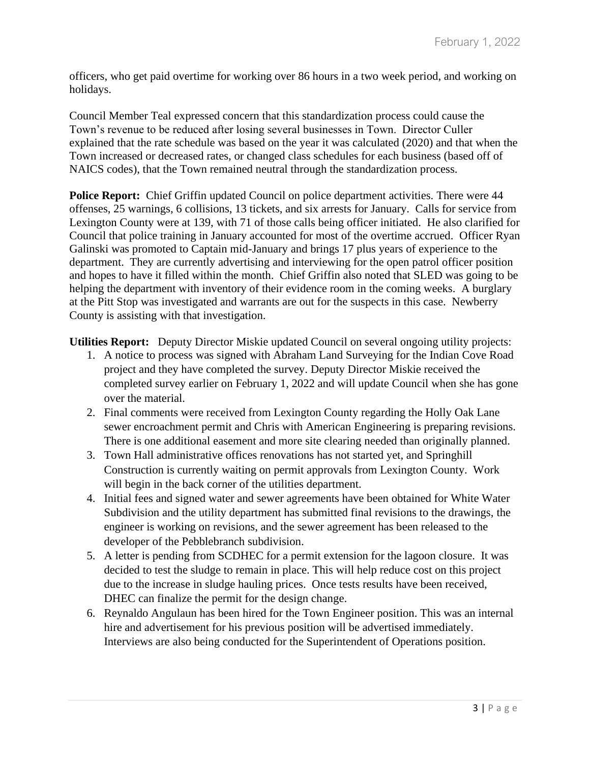officers, who get paid overtime for working over 86 hours in a two week period, and working on holidays.

Council Member Teal expressed concern that this standardization process could cause the Town's revenue to be reduced after losing several businesses in Town. Director Culler explained that the rate schedule was based on the year it was calculated (2020) and that when the Town increased or decreased rates, or changed class schedules for each business (based off of NAICS codes), that the Town remained neutral through the standardization process.

**Police Report:** Chief Griffin updated Council on police department activities. There were 44 offenses, 25 warnings, 6 collisions, 13 tickets, and six arrests for January. Calls for service from Lexington County were at 139, with 71 of those calls being officer initiated. He also clarified for Council that police training in January accounted for most of the overtime accrued. Officer Ryan Galinski was promoted to Captain mid-January and brings 17 plus years of experience to the department. They are currently advertising and interviewing for the open patrol officer position and hopes to have it filled within the month. Chief Griffin also noted that SLED was going to be helping the department with inventory of their evidence room in the coming weeks. A burglary at the Pitt Stop was investigated and warrants are out for the suspects in this case. Newberry County is assisting with that investigation.

**Utilities Report:** Deputy Director Miskie updated Council on several ongoing utility projects:

- 1. A notice to process was signed with Abraham Land Surveying for the Indian Cove Road project and they have completed the survey. Deputy Director Miskie received the completed survey earlier on February 1, 2022 and will update Council when she has gone over the material.
- 2. Final comments were received from Lexington County regarding the Holly Oak Lane sewer encroachment permit and Chris with American Engineering is preparing revisions. There is one additional easement and more site clearing needed than originally planned.
- 3. Town Hall administrative offices renovations has not started yet, and Springhill Construction is currently waiting on permit approvals from Lexington County. Work will begin in the back corner of the utilities department.
- 4. Initial fees and signed water and sewer agreements have been obtained for White Water Subdivision and the utility department has submitted final revisions to the drawings, the engineer is working on revisions, and the sewer agreement has been released to the developer of the Pebblebranch subdivision.
- 5. A letter is pending from SCDHEC for a permit extension for the lagoon closure. It was decided to test the sludge to remain in place. This will help reduce cost on this project due to the increase in sludge hauling prices. Once tests results have been received, DHEC can finalize the permit for the design change.
- 6. Reynaldo Angulaun has been hired for the Town Engineer position. This was an internal hire and advertisement for his previous position will be advertised immediately. Interviews are also being conducted for the Superintendent of Operations position.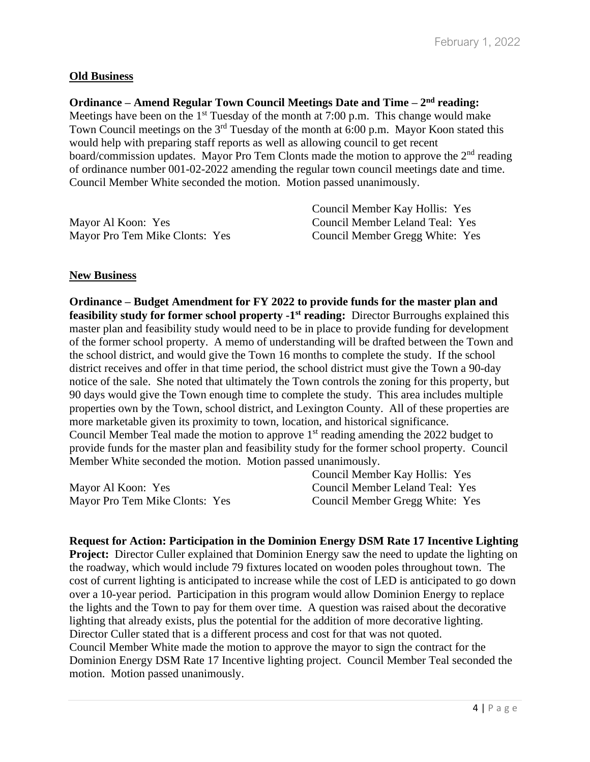## **Old Business**

**Ordinance – Amend Regular Town Council Meetings Date and Time – 2<sup>nd</sup> reading:** Meetings have been on the  $1<sup>st</sup>$  Tuesday of the month at 7:00 p.m. This change would make Town Council meetings on the 3rd Tuesday of the month at 6:00 p.m. Mayor Koon stated this would help with preparing staff reports as well as allowing council to get recent board/commission updates. Mayor Pro Tem Clonts made the motion to approve the  $2<sup>nd</sup>$  reading of ordinance number 001-02-2022 amending the regular town council meetings date and time. Council Member White seconded the motion. Motion passed unanimously.

|                                | Council Member Kay Hollis: Yes  |
|--------------------------------|---------------------------------|
| Mayor Al Koon: Yes             | Council Member Leland Teal: Yes |
| Mayor Pro Tem Mike Clonts: Yes | Council Member Gregg White: Yes |

### **New Business**

**Ordinance – Budget Amendment for FY 2022 to provide funds for the master plan and feasibility study for former school property -1<sup>st</sup> reading: Director Burroughs explained this** master plan and feasibility study would need to be in place to provide funding for development of the former school property. A memo of understanding will be drafted between the Town and the school district, and would give the Town 16 months to complete the study. If the school district receives and offer in that time period, the school district must give the Town a 90-day notice of the sale. She noted that ultimately the Town controls the zoning for this property, but 90 days would give the Town enough time to complete the study. This area includes multiple properties own by the Town, school district, and Lexington County. All of these properties are more marketable given its proximity to town, location, and historical significance. Council Member Teal made the motion to approve  $1<sup>st</sup>$  reading amending the 2022 budget to provide funds for the master plan and feasibility study for the former school property. Council Member White seconded the motion. Motion passed unanimously.

Mayor Al Koon: Yes Mayor Pro Tem Mike Clonts: Yes Council Member Kay Hollis: Yes Council Member Leland Teal: Yes Council Member Gregg White: Yes

**Request for Action: Participation in the Dominion Energy DSM Rate 17 Incentive Lighting Project:** Director Culler explained that Dominion Energy saw the need to update the lighting on the roadway, which would include 79 fixtures located on wooden poles throughout town. The cost of current lighting is anticipated to increase while the cost of LED is anticipated to go down over a 10-year period. Participation in this program would allow Dominion Energy to replace the lights and the Town to pay for them over time. A question was raised about the decorative lighting that already exists, plus the potential for the addition of more decorative lighting. Director Culler stated that is a different process and cost for that was not quoted. Council Member White made the motion to approve the mayor to sign the contract for the Dominion Energy DSM Rate 17 Incentive lighting project. Council Member Teal seconded the motion. Motion passed unanimously.